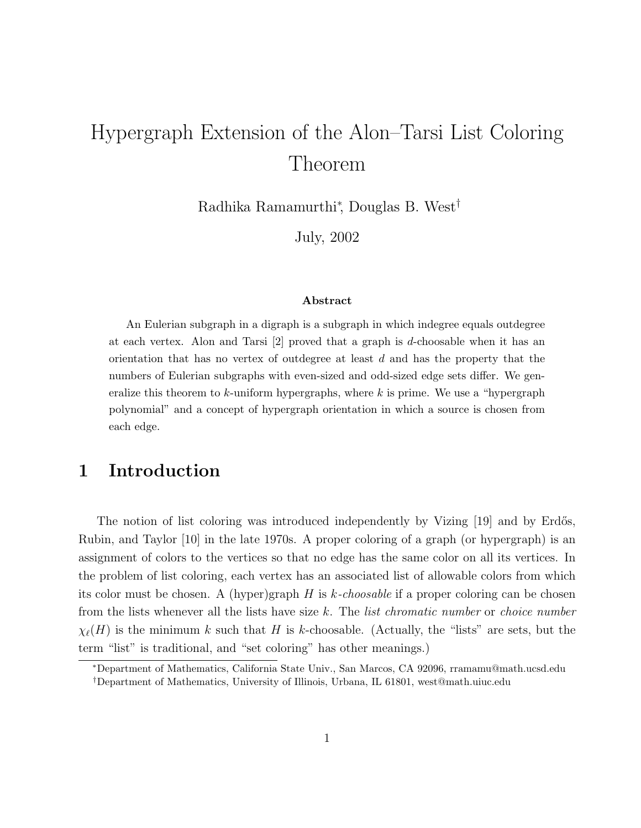# Hypergraph Extension of the Alon–Tarsi List Coloring Theorem

Radhika Ramamurthi<sup>∗</sup> , Douglas B. West†

July, 2002

#### Abstract

An Eulerian subgraph in a digraph is a subgraph in which indegree equals outdegree at each vertex. Alon and Tarsi  $[2]$  proved that a graph is d-choosable when it has an orientation that has no vertex of outdegree at least  $d$  and has the property that the numbers of Eulerian subgraphs with even-sized and odd-sized edge sets differ. We generalize this theorem to  $k$ -uniform hypergraphs, where  $k$  is prime. We use a "hypergraph polynomial" and a concept of hypergraph orientation in which a source is chosen from each edge.

# 1 Introduction

The notion of list coloring was introduced independently by Vizing [19] and by Erdős, Rubin, and Taylor [10] in the late 1970s. A proper coloring of a graph (or hypergraph) is an assignment of colors to the vertices so that no edge has the same color on all its vertices. In the problem of list coloring, each vertex has an associated list of allowable colors from which its color must be chosen. A (hyper)graph  $H$  is k-choosable if a proper coloring can be chosen from the lists whenever all the lists have size k. The *list chromatic number* or *choice number*  $\chi_{\ell}(H)$  is the minimum k such that H is k-choosable. (Actually, the "lists" are sets, but the term "list" is traditional, and "set coloring" has other meanings.)

<sup>∗</sup>Department of Mathematics, California State Univ., San Marcos, CA 92096, rramamu@math.ucsd.edu †Department of Mathematics, University of Illinois, Urbana, IL 61801, west@math.uiuc.edu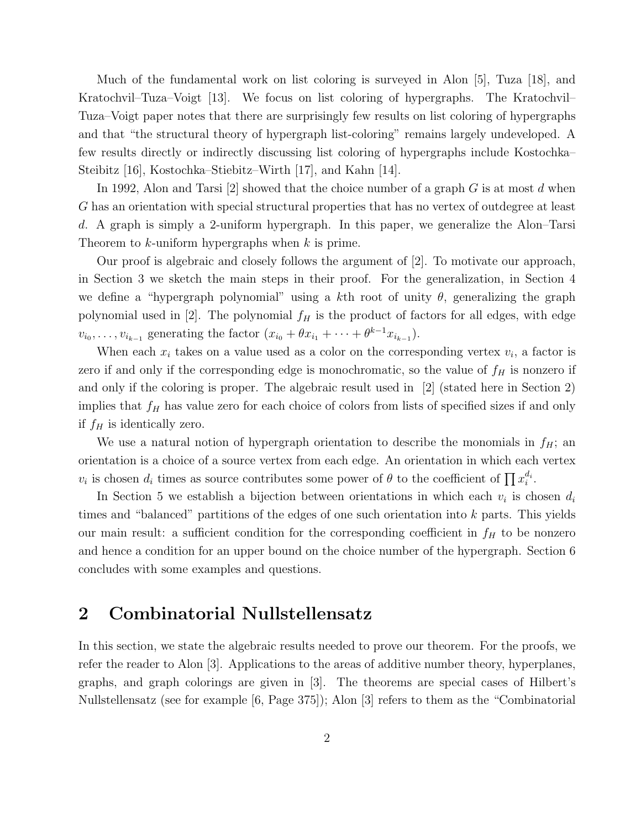Much of the fundamental work on list coloring is surveyed in Alon [5], Tuza [18], and Kratochvil–Tuza–Voigt [13]. We focus on list coloring of hypergraphs. The Kratochvil– Tuza–Voigt paper notes that there are surprisingly few results on list coloring of hypergraphs and that "the structural theory of hypergraph list-coloring" remains largely undeveloped. A few results directly or indirectly discussing list coloring of hypergraphs include Kostochka– Steibitz [16], Kostochka–Stiebitz–Wirth [17], and Kahn [14].

In 1992, Alon and Tarsi [2] showed that the choice number of a graph  $G$  is at most  $d$  when G has an orientation with special structural properties that has no vertex of outdegree at least d. A graph is simply a 2-uniform hypergraph. In this paper, we generalize the Alon–Tarsi Theorem to  $k$ -uniform hypergraphs when  $k$  is prime.

Our proof is algebraic and closely follows the argument of [2]. To motivate our approach, in Section 3 we sketch the main steps in their proof. For the generalization, in Section 4 we define a "hypergraph polynomial" using a kth root of unity  $\theta$ , generalizing the graph polynomial used in [2]. The polynomial  $f_H$  is the product of factors for all edges, with edge  $v_{i_0}, \ldots, v_{i_{k-1}}$  generating the factor  $(x_{i_0} + \theta x_{i_1} + \cdots + \theta^{k-1} x_{i_{k-1}})$ .

When each  $x_i$  takes on a value used as a color on the corresponding vertex  $v_i$ , a factor is zero if and only if the corresponding edge is monochromatic, so the value of  $f_H$  is nonzero if and only if the coloring is proper. The algebraic result used in [2] (stated here in Section 2) implies that  $f_H$  has value zero for each choice of colors from lists of specified sizes if and only if  $f_H$  is identically zero.

We use a natural notion of hypergraph orientation to describe the monomials in  $f_H$ ; and orientation is a choice of a source vertex from each edge. An orientation in which each vertex  $v_i$  is chosen  $d_i$  times as source contributes some power of  $\theta$  to the coefficient of  $\prod x_i^{d_i}$ .

In Section 5 we establish a bijection between orientations in which each  $v_i$  is chosen  $d_i$ times and "balanced" partitions of the edges of one such orientation into  $k$  parts. This yields our main result: a sufficient condition for the corresponding coefficient in  $f_H$  to be nonzero and hence a condition for an upper bound on the choice number of the hypergraph. Section 6 concludes with some examples and questions.

#### 2 Combinatorial Nullstellensatz

In this section, we state the algebraic results needed to prove our theorem. For the proofs, we refer the reader to Alon [3]. Applications to the areas of additive number theory, hyperplanes, graphs, and graph colorings are given in [3]. The theorems are special cases of Hilbert's Nullstellensatz (see for example [6, Page 375]); Alon [3] refers to them as the "Combinatorial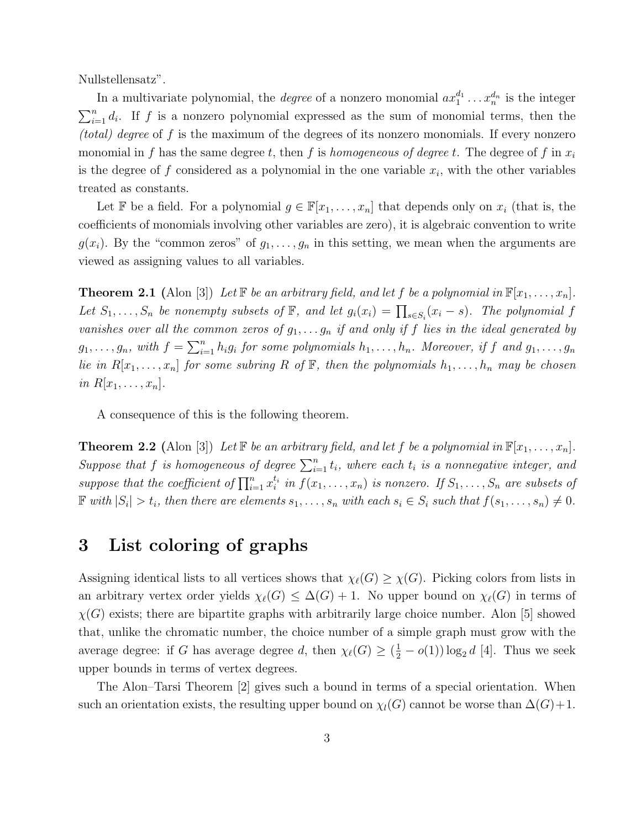Nullstellensatz".

In a multivariate polynomial, the *degree* of a nonzero monomial  $ax_1^{d_1} \ldots x_n^{d_n}$  is the integer  $\sum_{i=1}^{n} d_i$ . If f is a nonzero polynomial expressed as the sum of monomial terms, then the (total) degree of f is the maximum of the degrees of its nonzero monomials. If every nonzero monomial in f has the same degree t, then f is homogeneous of degree t. The degree of f in  $x_i$ is the degree of  $f$  considered as a polynomial in the one variable  $x_i$ , with the other variables treated as constants.

Let F be a field. For a polynomial  $g \in \mathbb{F}[x_1, \ldots, x_n]$  that depends only on  $x_i$  (that is, the coefficients of monomials involving other variables are zero), it is algebraic convention to write  $g(x_i)$ . By the "common zeros" of  $g_1, \ldots, g_n$  in this setting, we mean when the arguments are viewed as assigning values to all variables.

**Theorem 2.1** (Alon [3]) Let  $\mathbb{F}$  be an arbitrary field, and let f be a polynomial in  $\mathbb{F}[x_1, \ldots, x_n]$ . Let  $S_1, \ldots, S_n$  be nonempty subsets of  $\mathbb{F}$ , and let  $g_i(x_i) = \prod_{s \in S_i} (x_i - s)$ . The polynomial f vanishes over all the common zeros of  $g_1, \ldots, g_n$  if and only if f lies in the ideal generated by  $g_1, \ldots, g_n$ , with  $f = \sum_{i=1}^n h_i g_i$  for some polynomials  $h_1, \ldots, h_n$ . Moreover, if f and  $g_1, \ldots, g_n$ lie in  $R[x_1, \ldots, x_n]$  for some subring R of  $F$ , then the polynomials  $h_1, \ldots, h_n$  may be chosen in  $R[x_1, \ldots, x_n].$ 

A consequence of this is the following theorem.

**Theorem 2.2** (Alon [3]) Let  $\mathbb{F}$  be an arbitrary field, and let f be a polynomial in  $\mathbb{F}[x_1, \ldots, x_n]$ . Suppose that f is homogeneous of degree  $\sum_{i=1}^{n} t_i$ , where each  $t_i$  is a nonnegative integer, and suppose that the coefficient of  $\prod_{i=1}^n x_i^{t_i}$  in  $f(x_1, \ldots, x_n)$  is nonzero. If  $S_1, \ldots, S_n$  are subsets of  $\mathbb{F}$  with  $|S_i| > t_i$ , then there are elements  $s_1, \ldots, s_n$  with each  $s_i \in S_i$  such that  $f(s_1, \ldots, s_n) \neq 0$ .

### 3 List coloring of graphs

Assigning identical lists to all vertices shows that  $\chi_{\ell}(G) \geq \chi(G)$ . Picking colors from lists in an arbitrary vertex order yields  $\chi_{\ell}(G) \leq \Delta(G) + 1$ . No upper bound on  $\chi_{\ell}(G)$  in terms of  $\chi(G)$  exists; there are bipartite graphs with arbitrarily large choice number. Alon [5] showed that, unlike the chromatic number, the choice number of a simple graph must grow with the average degree: if G has average degree d, then  $\chi_{\ell}(G) \geq (\frac{1}{2} - o(1)) \log_2 d$  [4]. Thus we seek upper bounds in terms of vertex degrees.

The Alon–Tarsi Theorem [2] gives such a bound in terms of a special orientation. When such an orientation exists, the resulting upper bound on  $\chi_l(G)$  cannot be worse than  $\Delta(G)+1$ .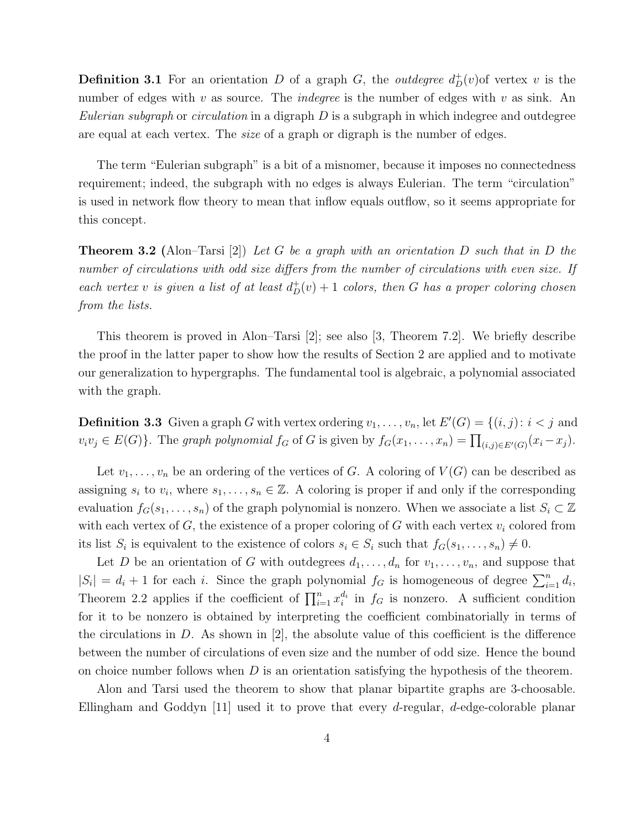**Definition 3.1** For an orientation D of a graph G, the *outdegree*  $d^+_D(v)$  of vertex v is the number of edges with v as source. The *indegree* is the number of edges with v as sink. An *Eulerian subgraph* or *circulation* in a digraph  $D$  is a subgraph in which indegree and outdegree are equal at each vertex. The *size* of a graph or digraph is the number of edges.

The term "Eulerian subgraph" is a bit of a misnomer, because it imposes no connectedness requirement; indeed, the subgraph with no edges is always Eulerian. The term "circulation" is used in network flow theory to mean that inflow equals outflow, so it seems appropriate for this concept.

**Theorem 3.2** (Alon–Tarsi [2]) Let G be a graph with an orientation D such that in D the number of circulations with odd size differs from the number of circulations with even size. If each vertex v is given a list of at least  $d_D^+(v) + 1$  colors, then G has a proper coloring chosen from the lists.

This theorem is proved in Alon–Tarsi [2]; see also [3, Theorem 7.2]. We briefly describe the proof in the latter paper to show how the results of Section 2 are applied and to motivate our generalization to hypergraphs. The fundamental tool is algebraic, a polynomial associated with the graph.

**Definition 3.3** Given a graph G with vertex ordering  $v_1, \ldots, v_n$ , let  $E'(G) = \{(i, j): i < j \text{ and } j \leq j \leq n\}$  $v_i v_j \in E(G)$ . The graph polynomial  $f_G$  of G is given by  $f_G(x_1, \ldots, x_n) = \prod_{(i,j) \in E'(G)} (x_i - x_j)$ .

Let  $v_1, \ldots, v_n$  be an ordering of the vertices of G. A coloring of  $V(G)$  can be described as assigning  $s_i$  to  $v_i$ , where  $s_1, \ldots, s_n \in \mathbb{Z}$ . A coloring is proper if and only if the corresponding evaluation  $f_G(s_1, \ldots, s_n)$  of the graph polynomial is nonzero. When we associate a list  $S_i \subset \mathbb{Z}$ with each vertex of G, the existence of a proper coloring of G with each vertex  $v_i$  colored from its list  $S_i$  is equivalent to the existence of colors  $s_i \in S_i$  such that  $f_G(s_1, \ldots, s_n) \neq 0$ .

Let D be an orientation of G with outdegrees  $d_1, \ldots, d_n$  for  $v_1, \ldots, v_n$ , and suppose that  $|S_i| = d_i + 1$  for each i. Since the graph polynomial  $f_G$  is homogeneous of degree  $\sum_{i=1}^n d_i$ , Theorem 2.2 applies if the coefficient of  $\prod_{i=1}^{n} x_i^{d_i}$  in  $f_G$  is nonzero. A sufficient condition for it to be nonzero is obtained by interpreting the coefficient combinatorially in terms of the circulations in  $D$ . As shown in  $[2]$ , the absolute value of this coefficient is the difference between the number of circulations of even size and the number of odd size. Hence the bound on choice number follows when  $D$  is an orientation satisfying the hypothesis of the theorem.

Alon and Tarsi used the theorem to show that planar bipartite graphs are 3-choosable. Ellingham and Goddyn [11] used it to prove that every d-regular, d-edge-colorable planar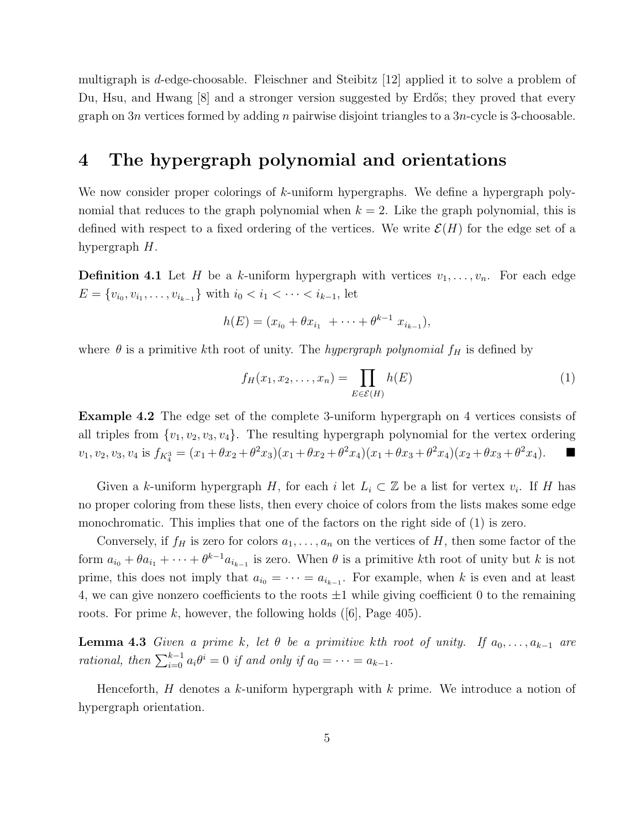multigraph is d-edge-choosable. Fleischner and Steibitz [12] applied it to solve a problem of Du, Hsu, and Hwang [8] and a stronger version suggested by Erdős; they proved that every graph on  $3n$  vertices formed by adding n pairwise disjoint triangles to a  $3n$ -cycle is 3-choosable.

#### 4 The hypergraph polynomial and orientations

We now consider proper colorings of k-uniform hypergraphs. We define a hypergraph polynomial that reduces to the graph polynomial when  $k = 2$ . Like the graph polynomial, this is defined with respect to a fixed ordering of the vertices. We write  $\mathcal{E}(H)$  for the edge set of a hypergraph H.

**Definition 4.1** Let H be a k-uniform hypergraph with vertices  $v_1, \ldots, v_n$ . For each edge  $E = \{v_{i_0}, v_{i_1}, \dots, v_{i_{k-1}}\}$  with  $i_0 < i_1 < \dots < i_{k-1}$ , let

$$
h(E) = (x_{i_0} + \theta x_{i_1} + \cdots + \theta^{k-1} x_{i_{k-1}}),
$$

where  $\theta$  is a primitive kth root of unity. The hypergraph polynomial  $f_H$  is defined by

$$
f_H(x_1, x_2, \dots, x_n) = \prod_{E \in \mathcal{E}(H)} h(E)
$$
 (1)

Example 4.2 The edge set of the complete 3-uniform hypergraph on 4 vertices consists of all triples from  $\{v_1, v_2, v_3, v_4\}$ . The resulting hypergraph polynomial for the vertex ordering  $v_1, v_2, v_3, v_4$  is  $f_{K_4^3} = (x_1 + \theta x_2 + \theta^2 x_3)(x_1 + \theta x_2 + \theta^2 x_4)(x_1 + \theta x_3 + \theta^2 x_4)(x_2 + \theta x_3 + \theta^2 x_4).$ 

Given a k-uniform hypergraph H, for each i let  $L_i \subset \mathbb{Z}$  be a list for vertex  $v_i$ . If H has no proper coloring from these lists, then every choice of colors from the lists makes some edge monochromatic. This implies that one of the factors on the right side of (1) is zero.

Conversely, if  $f_H$  is zero for colors  $a_1, \ldots, a_n$  on the vertices of H, then some factor of the form  $a_{i_0} + \theta a_{i_1} + \cdots + \theta^{k-1} a_{i_{k-1}}$  is zero. When  $\theta$  is a primitive kth root of unity but k is not prime, this does not imply that  $a_{i_0} = \cdots = a_{i_{k-1}}$ . For example, when k is even and at least 4, we can give nonzero coefficients to the roots  $\pm 1$  while giving coefficient 0 to the remaining roots. For prime k, however, the following holds  $([6],$  Page 405).

**Lemma 4.3** Given a prime k, let  $\theta$  be a primitive kth root of unity. If  $a_0, \ldots, a_{k-1}$  are rational, then  $\sum_{i=0}^{k-1} a_i \theta^i = 0$  if and only if  $a_0 = \cdots = a_{k-1}$ .

Henceforth,  $H$  denotes a k-uniform hypergraph with  $k$  prime. We introduce a notion of hypergraph orientation.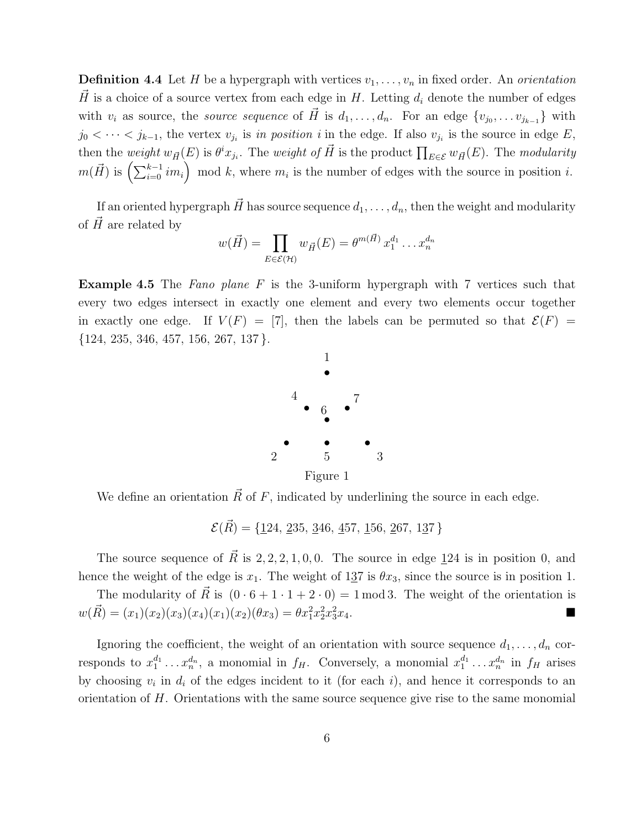**Definition 4.4** Let H be a hypergraph with vertices  $v_1, \ldots, v_n$  in fixed order. An *orientation*  $\vec{H}$  is a choice of a source vertex from each edge in H. Letting  $d_i$  denote the number of edges with  $v_i$  as source, the *source sequence* of  $\vec{H}$  is  $d_1, \ldots, d_n$ . For an edge  $\{v_{j_0}, \ldots v_{j_{k-1}}\}$  with  $j_0 < \cdots < j_{k-1}$ , the vertex  $v_{j_i}$  is in position i in the edge. If also  $v_{j_i}$  is the source in edge E, then the weight  $w_{\vec{H}}(E)$  is  $\theta^i x_{j_i}$ . The weight of  $\vec{H}$  is the product  $\prod_{E \in \mathcal{E}} w_{\vec{H}}(E)$ . The modularity  $m(\vec{H})$  is  $\left(\sum_{i=0}^{k-1} i m_i\right) \mod k$ , where  $m_i$  is the number of edges with the source in position i.

If an oriented hypergraph  $\vec{H}$  has source sequence  $d_1, \ldots, d_n$ , then the weight and modularity of  $\hat{H}$  are related by

$$
w(\vec{H}) = \prod_{E \in \mathcal{E}(\mathcal{H})} w_{\vec{H}}(E) = \theta^{m(\vec{H})} x_1^{d_1} \dots x_n^{d_n}
$$

**Example 4.5** The Fano plane F is the 3-uniform hypergraph with 7 vertices such that every two edges intersect in exactly one element and every two elements occur together in exactly one edge. If  $V(F) = [7]$ , then the labels can be permuted so that  $\mathcal{E}(F) =$  $\{124, 235, 346, 457, 156, 267, 137\}.$ 



We define an orientation  $\vec{R}$  of F, indicated by underlining the source in each edge.

 $\mathcal{E}(\vec{R}) = \{124, 235, 346, 457, 156, 267, 137\}$ 

The source sequence of  $\vec{R}$  is 2, 2, 2, 1, 0, 0. The source in edge 124 is in position 0, and hence the weight of the edge is  $x_1$ . The weight of 137 is  $\theta x_3$ , since the source is in position 1.

The modularity of  $\vec{R}$  is  $(0 \cdot 6 + 1 \cdot 1 + 2 \cdot 0) = 1 \text{ mod } 3$ . The weight of the orientation is  $w(\vec{R}) = (x_1)(x_2)(x_3)(x_4)(x_1)(x_2)(\theta x_3) = \theta x_1^2 x_2^2 x_3^2$  $\frac{2}{3}x_4$ .

Ignoring the coefficient, the weight of an orientation with source sequence  $d_1, \ldots, d_n$  corresponds to  $x_1^{d_1} \ldots x_n^{d_n}$ , a monomial in  $f_H$ . Conversely, a monomial  $x_1^{d_1} \ldots x_n^{d_n}$  in  $f_H$  arises by choosing  $v_i$  in  $d_i$  of the edges incident to it (for each i), and hence it corresponds to an orientation of  $H$ . Orientations with the same source sequence give rise to the same monomial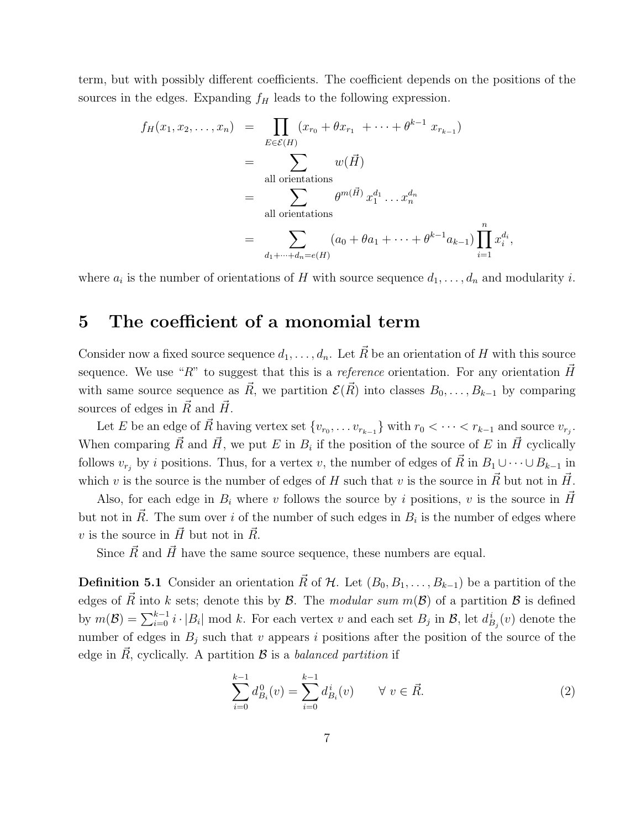term, but with possibly different coefficients. The coefficient depends on the positions of the sources in the edges. Expanding  $f<sub>H</sub>$  leads to the following expression.

$$
f_H(x_1, x_2, \dots, x_n) = \prod_{E \in \mathcal{E}(H)} (x_{r_0} + \theta x_{r_1} + \dots + \theta^{k-1} x_{r_{k-1}})
$$
  
\n
$$
= \sum_{\text{all orientations}} w(\vec{H})
$$
  
\n
$$
= \sum_{\text{all orientations}} \theta^{m(\vec{H})} x_1^{d_1} \dots x_n^{d_n}
$$
  
\n
$$
= \sum_{d_1 + \dots + d_n = e(H)} (a_0 + \theta a_1 + \dots + \theta^{k-1} a_{k-1}) \prod_{i=1}^n x_i^{d_i},
$$

where  $a_i$  is the number of orientations of H with source sequence  $d_1, \ldots, d_n$  and modularity i.

# 5 The coefficient of a monomial term

Consider now a fixed source sequence  $d_1, \ldots, d_n$ . Let  $\vec{R}$  be an orientation of H with this source sequence. We use "R" to suggest that this is a reference orientation. For any orientation  $H~$ with same source sequence as  $\vec{R}$ , we partition  $\mathcal{E}(\vec{R})$  into classes  $B_0, \ldots, B_{k-1}$  by comparing sources of edges in  $\vec{R}$  and  $\vec{H}$ .

Let E be an edge of  $\vec{R}$  having vertex set  $\{v_{r_0}, \ldots v_{r_{k-1}}\}$  with  $r_0 < \cdots < r_{k-1}$  and source  $v_{r_j}$ . When comparing  $\vec{R}$  and  $\vec{H}$ , we put E in  $B_i$  if the position of the source of E in  $\vec{H}$  cyclically follows  $v_{r_j}$  by i positions. Thus, for a vertex v, the number of edges of  $\vec{R}$  in  $B_1 \cup \cdots \cup B_{k-1}$  in which v is the source is the number of edges of H such that v is the source in  $\vec{R}$  but not in  $\vec{H}$ .

Also, for each edge in  $B_i$  where v follows the source by i positions, v is the source in H but not in  $\vec{R}$ . The sum over i of the number of such edges in  $B_i$  is the number of edges where v is the source in  $\vec{H}$  but not in  $\vec{R}$ .

Since  $\vec{R}$  and  $\vec{H}$  have the same source sequence, these numbers are equal.

**Definition 5.1** Consider an orientation  $\vec{R}$  of H. Let  $(B_0, B_1, \ldots, B_{k-1})$  be a partition of the edges of R into k sets; denote this by B. The modular sum  $m(\mathcal{B})$  of a partition B is defined by  $m(\mathcal{B}) = \sum_{i=0}^{k-1} i \cdot |B_i|$  mod k. For each vertex v and each set  $B_j$  in  $\mathcal{B}$ , let  $d_{B_j}^i(v)$  denote the number of edges in  $B_i$  such that v appears i positions after the position of the source of the edge in  $\vec{R}$ , cyclically. A partition  $\vec{B}$  is a balanced partition if

$$
\sum_{i=0}^{k-1} d_{B_i}^0(v) = \sum_{i=0}^{k-1} d_{B_i}^i(v) \qquad \forall \ v \in \vec{R}.
$$
 (2)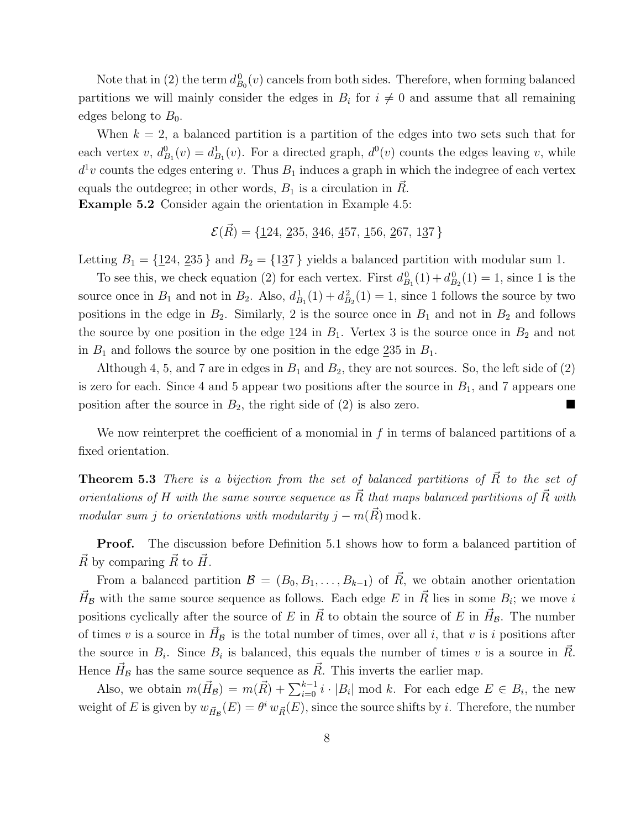Note that in (2) the term  $d_{B_0}^0(v)$  cancels from both sides. Therefore, when forming balanced partitions we will mainly consider the edges in  $B_i$  for  $i \neq 0$  and assume that all remaining edges belong to  $B_0$ .

When  $k = 2$ , a balanced partition is a partition of the edges into two sets such that for each vertex  $v, d_{B_1}^0(v) = d_{B_1}^1(v)$ . For a directed graph,  $d^0(v)$  counts the edges leaving  $v$ , while  $d^1v$  counts the edges entering v. Thus  $B_1$  induces a graph in which the indegree of each vertex equals the outdegree; in other words,  $B_1$  is a circulation in  $R$ .

Example 5.2 Consider again the orientation in Example 4.5:

$$
\mathcal{E}(\vec{R}) = \{124, 235, 346, 457, 156, 267, 137\}
$$

Letting  $B_1 = \{124, 235\}$  and  $B_2 = \{137\}$  yields a balanced partition with modular sum 1.

To see this, we check equation (2) for each vertex. First  $d_{B_1}^0(1) + d_{B_2}^0(1) = 1$ , since 1 is the source once in  $B_1$  and not in  $B_2$ . Also,  $d_{B_1}^1(1) + d_{B_2}^2(1) = 1$ , since 1 follows the source by two positions in the edge in  $B_2$ . Similarly, 2 is the source once in  $B_1$  and not in  $B_2$  and follows the source by one position in the edge  $124$  in  $B_1$ . Vertex 3 is the source once in  $B_2$  and not in  $B_1$  and follows the source by one position in the edge  $235$  in  $B_1$ .

Although 4, 5, and 7 are in edges in  $B_1$  and  $B_2$ , they are not sources. So, the left side of (2) is zero for each. Since 4 and 5 appear two positions after the source in  $B_1$ , and 7 appears one position after the source in  $B_2$ , the right side of  $(2)$  is also zero.

We now reinterpret the coefficient of a monomial in  $f$  in terms of balanced partitions of a fixed orientation.

**Theorem 5.3** There is a bijection from the set of balanced partitions of  $\vec{R}$  to the set of orientations of H with the same source sequence as  $\vec{R}$  that maps balanced partitions of  $\vec{R}$  with modular sum j to orientations with modularity  $j - m(\vec{R}) \mod k$ .

Proof. The discussion before Definition 5.1 shows how to form a balanced partition of  $\vec{R}$  by comparing  $\vec{R}$  to  $\vec{H}$ .

From a balanced partition  $\mathcal{B} = (B_0, B_1, \ldots, B_{k-1})$  of  $\vec{R}$ , we obtain another orientation  $\vec{H}_\mathcal{B}$  with the same source sequence as follows. Each edge E in  $\vec{R}$  lies in some  $B_i$ ; we move i positions cyclically after the source of E in  $\vec{R}$  to obtain the source of E in  $\vec{H}_\mathcal{B}$ . The number of times v is a source in  $\vec{H}_B$  is the total number of times, over all i, that v is i positions after the source in  $B_i$ . Since  $B_i$  is balanced, this equals the number of times v is a source in  $\vec{R}$ . Hence  $\vec{H}_B$  has the same source sequence as  $\vec{R}$ . This inverts the earlier map.

Also, we obtain  $m(\vec{H}_{\mathcal{B}}) = m(\vec{R}) + \sum_{i=0}^{k-1} i \cdot |B_i| \mod k$ . For each edge  $E \in B_i$ , the new weight of E is given by  $w_{\vec{H}_B}(E) = \theta^i w_{\vec{R}}(E)$ , since the source shifts by i. Therefore, the number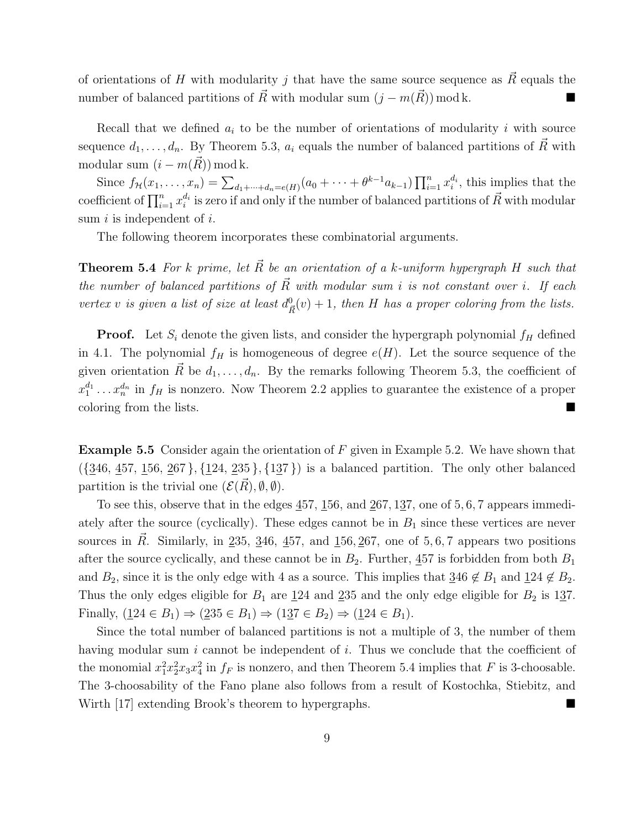of orientations of H with modularity j that have the same source sequence as  $\vec{R}$  equals the number of balanced partitions of  $\vec{R}$  with modular sum  $(j - m(\vec{R}))$  mod k.

Recall that we defined  $a_i$  to be the number of orientations of modularity i with source sequence  $d_1, \ldots, d_n$ . By Theorem 5.3,  $a_i$  equals the number of balanced partitions of  $\vec{R}$  with modular sum  $(i - m(\overrightarrow{R})) \mod k$ .

Since  $f_{\mathcal{H}}(x_1,\ldots,x_n) = \sum_{d_1+\cdots+d_n=e(H)} (a_0+\cdots+\theta^{k-1}a_{k-1}) \prod_{i=1}^n x_i^{d_i}$ , this implies that the coefficient of  $\prod_{i=1}^n x_i^{d_i}$  is zero if and only if the number of balanced partitions of  $\vec{R}$  with modular sum  $i$  is independent of  $i$ .

The following theorem incorporates these combinatorial arguments.

**Theorem 5.4** For k prime, let  $\vec{R}$  be an orientation of a k-uniform hypergraph H such that the number of balanced partitions of  $\vec{R}$  with modular sum i is not constant over i. If each vertex v is given a list of size at least  $d_{\overline{R}}^0(v) + 1$ , then H has a proper coloring from the lists.

**Proof.** Let  $S_i$  denote the given lists, and consider the hypergraph polynomial  $f_H$  defined in 4.1. The polynomial  $f_H$  is homogeneous of degree  $e(H)$ . Let the source sequence of the given orientation  $\vec{R}$  be  $d_1, \ldots, d_n$ . By the remarks following Theorem 5.3, the coefficient of  $x_1^{d_1} \ldots x_n^{d_n}$  in  $f_H$  is nonzero. Now Theorem 2.2 applies to guarantee the existence of a proper coloring from the lists.

**Example 5.5** Consider again the orientation of  $F$  given in Example 5.2. We have shown that  $({346, 457, 156, 267}, {124, 235}, {137})$  is a balanced partition. The only other balanced partition is the trivial one  $(\mathcal{E}(R), \emptyset, \emptyset)$ .

To see this, observe that in the edges  $\underline{457}$ ,  $\underline{156}$ , and  $\underline{267}$ ,  $1\underline{37}$ , one of 5, 6, 7 appears immediately after the source (cyclically). These edges cannot be in  $B_1$  since these vertices are never sources in  $\vec{R}$ . Similarly, in 235, 346, 457, and 156, 267, one of 5, 6, 7 appears two positions after the source cyclically, and these cannot be in  $B_2$ . Further,  $457$  is forbidden from both  $B_1$ and  $B_2$ , since it is the only edge with 4 as a source. This implies that  $346 \notin B_1$  and  $124 \notin B_2$ . Thus the only edges eligible for  $B_1$  are  $\underline{124}$  and  $\underline{235}$  and the only edge eligible for  $B_2$  is 137. Finally,  $(124 \in B_1) \Rightarrow (235 \in B_1) \Rightarrow (137 \in B_2) \Rightarrow (124 \in B_1)$ .

Since the total number of balanced partitions is not a multiple of 3, the number of them having modular sum  $i$  cannot be independent of  $i$ . Thus we conclude that the coefficient of the monomial  $x_1^2 x_2^2 x_3 x_4^2$  in  $f_F$  is nonzero, and then Theorem 5.4 implies that F is 3-choosable. The 3-choosability of the Fano plane also follows from a result of Kostochka, Stiebitz, and Wirth [17] extending Brook's theorem to hypergraphs.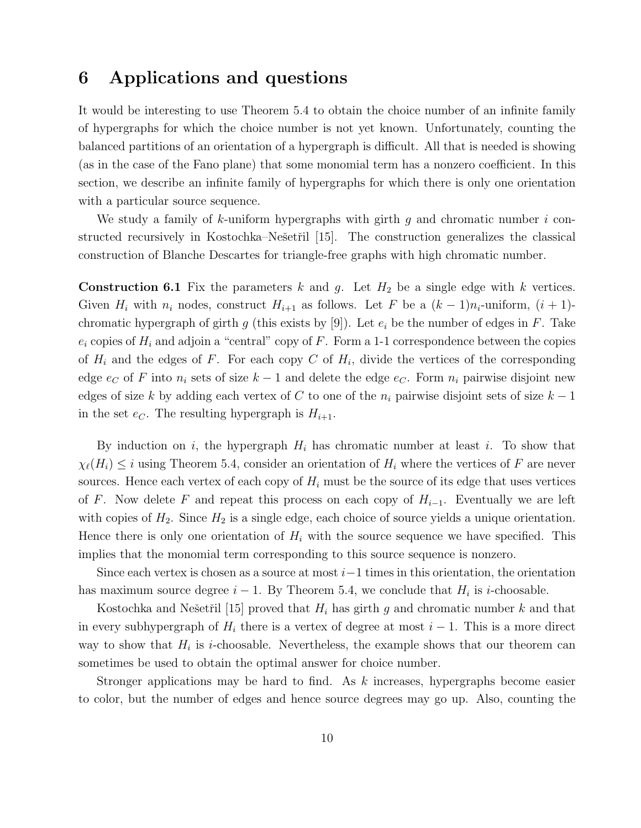## 6 Applications and questions

It would be interesting to use Theorem 5.4 to obtain the choice number of an infinite family of hypergraphs for which the choice number is not yet known. Unfortunately, counting the balanced partitions of an orientation of a hypergraph is difficult. All that is needed is showing (as in the case of the Fano plane) that some monomial term has a nonzero coefficient. In this section, we describe an infinite family of hypergraphs for which there is only one orientation with a particular source sequence.

We study a family of k-uniform hypergraphs with girth q and chromatic number  $i$  constructed recursively in Kostochka–Nešetřil [15]. The construction generalizes the classical construction of Blanche Descartes for triangle-free graphs with high chromatic number.

**Construction 6.1** Fix the parameters k and g. Let  $H_2$  be a single edge with k vertices. Given  $H_i$  with  $n_i$  nodes, construct  $H_{i+1}$  as follows. Let F be a  $(k-1)n_i$ -uniform,  $(i+1)$ chromatic hypergraph of girth g (this exists by [9]). Let  $e_i$  be the number of edges in F. Take  $e_i$  copies of  $H_i$  and adjoin a "central" copy of F. Form a 1-1 correspondence between the copies of  $H_i$  and the edges of F. For each copy C of  $H_i$ , divide the vertices of the corresponding edge  $e_C$  of F into  $n_i$  sets of size  $k-1$  and delete the edge  $e_C$ . Form  $n_i$  pairwise disjoint new edges of size k by adding each vertex of C to one of the  $n_i$  pairwise disjoint sets of size  $k-1$ in the set  $e_C$ . The resulting hypergraph is  $H_{i+1}$ .

By induction on  $i$ , the hypergraph  $H_i$  has chromatic number at least  $i$ . To show that  $\chi_{\ell}(H_i) \leq i$  using Theorem 5.4, consider an orientation of  $H_i$  where the vertices of F are never sources. Hence each vertex of each copy of  $H_i$  must be the source of its edge that uses vertices of F. Now delete F and repeat this process on each copy of  $H_{i-1}$ . Eventually we are left with copies of  $H_2$ . Since  $H_2$  is a single edge, each choice of source yields a unique orientation. Hence there is only one orientation of  $H_i$  with the source sequence we have specified. This implies that the monomial term corresponding to this source sequence is nonzero.

Since each vertex is chosen as a source at most  $i-1$  times in this orientation, the orientation has maximum source degree  $i - 1$ . By Theorem 5.4, we conclude that  $H_i$  is *i*-choosable.

Kostochka and Nešetřil [15] proved that  $H_i$  has girth g and chromatic number k and that in every subhypergraph of  $H_i$  there is a vertex of degree at most  $i - 1$ . This is a more direct way to show that  $H_i$  is *i*-choosable. Nevertheless, the example shows that our theorem can sometimes be used to obtain the optimal answer for choice number.

Stronger applications may be hard to find. As k increases, hypergraphs become easier to color, but the number of edges and hence source degrees may go up. Also, counting the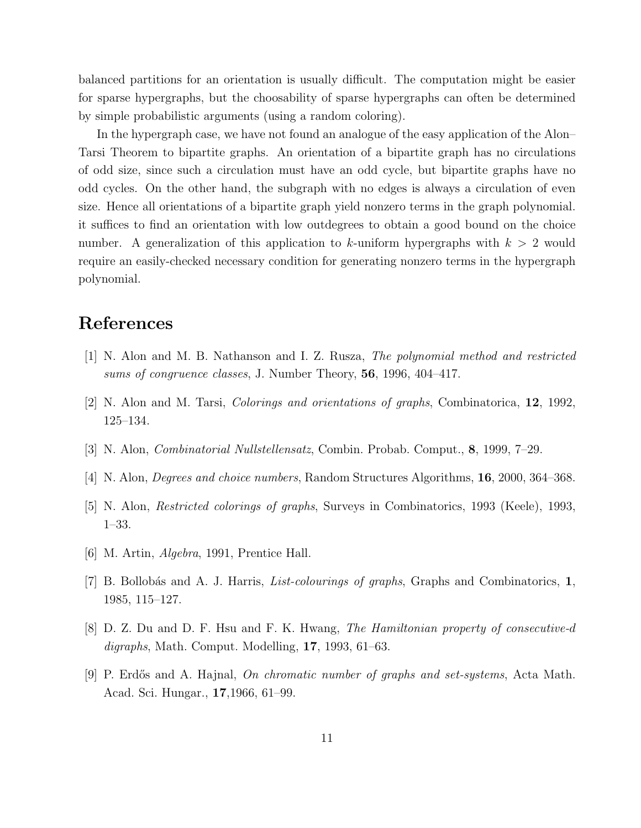balanced partitions for an orientation is usually difficult. The computation might be easier for sparse hypergraphs, but the choosability of sparse hypergraphs can often be determined by simple probabilistic arguments (using a random coloring).

In the hypergraph case, we have not found an analogue of the easy application of the Alon– Tarsi Theorem to bipartite graphs. An orientation of a bipartite graph has no circulations of odd size, since such a circulation must have an odd cycle, but bipartite graphs have no odd cycles. On the other hand, the subgraph with no edges is always a circulation of even size. Hence all orientations of a bipartite graph yield nonzero terms in the graph polynomial. it suffices to find an orientation with low outdegrees to obtain a good bound on the choice number. A generalization of this application to k-uniform hypergraphs with  $k > 2$  would require an easily-checked necessary condition for generating nonzero terms in the hypergraph polynomial.

# References

- [1] N. Alon and M. B. Nathanson and I. Z. Rusza, The polynomial method and restricted sums of congruence classes, J. Number Theory, 56, 1996, 404–417.
- [2] N. Alon and M. Tarsi, Colorings and orientations of graphs, Combinatorica, 12, 1992, 125–134.
- [3] N. Alon, Combinatorial Nullstellensatz, Combin. Probab. Comput., 8, 1999, 7–29.
- [4] N. Alon, Degrees and choice numbers, Random Structures Algorithms, 16, 2000, 364–368.
- [5] N. Alon, Restricted colorings of graphs, Surveys in Combinatorics, 1993 (Keele), 1993, 1–33.
- [6] M. Artin, Algebra, 1991, Prentice Hall.
- [7] B. Bollobás and A. J. Harris, *List-colourings of graphs*, Graphs and Combinatorics, 1, 1985, 115–127.
- [8] D. Z. Du and D. F. Hsu and F. K. Hwang, The Hamiltonian property of consecutive-d digraphs, Math. Comput. Modelling, 17, 1993, 61–63.
- [9] P. Erdős and A. Hajnal, *On chromatic number of graphs and set-systems*, Acta Math. Acad. Sci. Hungar., 17,1966, 61–99.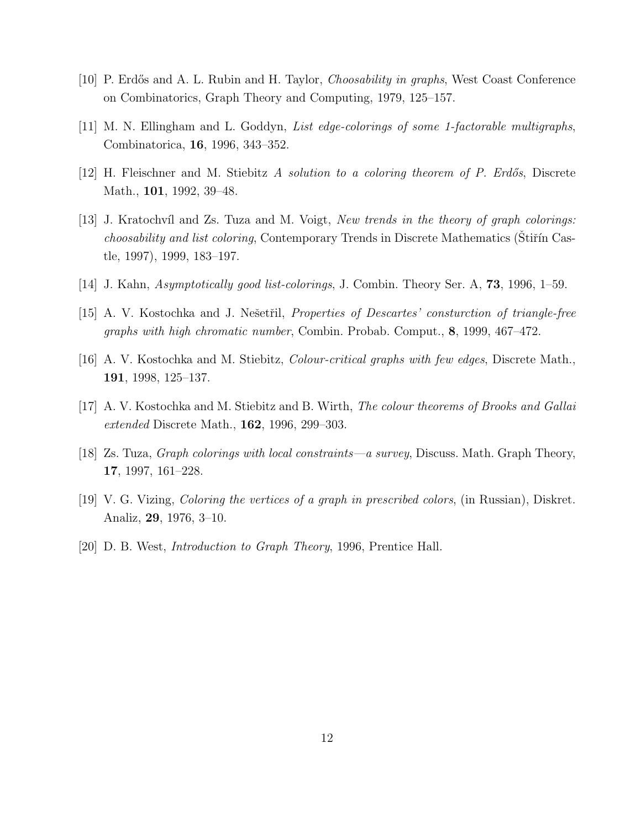- [10] P. Erdős and A. L. Rubin and H. Taylor, *Choosability in graphs*, West Coast Conference on Combinatorics, Graph Theory and Computing, 1979, 125–157.
- [11] M. N. Ellingham and L. Goddyn, List edge-colorings of some 1-factorable multigraphs, Combinatorica, 16, 1996, 343–352.
- [12] H. Fleischner and M. Stiebitz A solution to a coloring theorem of P. Erdős, Discrete Math., 101, 1992, 39–48.
- [13] J. Kratochvíl and Zs. Tuza and M. Voigt, *New trends in the theory of graph colorings:* choosability and list coloring, Contemporary Trends in Discrete Mathematics (Stiřín Castle, 1997), 1999, 183–197.
- [14] J. Kahn, Asymptotically good list-colorings, J. Combin. Theory Ser. A, 73, 1996, 1–59.
- [15] A. V. Kostochka and J. Nešetřil, *Properties of Descartes' consturction of triangle-free* graphs with high chromatic number, Combin. Probab. Comput., 8, 1999, 467–472.
- [16] A. V. Kostochka and M. Stiebitz, Colour-critical graphs with few edges, Discrete Math., 191, 1998, 125–137.
- [17] A. V. Kostochka and M. Stiebitz and B. Wirth, The colour theorems of Brooks and Gallai extended Discrete Math., **162**, 1996, 299–303.
- [18] Zs. Tuza, Graph colorings with local constraints—a survey, Discuss. Math. Graph Theory, 17, 1997, 161–228.
- [19] V. G. Vizing, Coloring the vertices of a graph in prescribed colors, (in Russian), Diskret. Analiz, 29, 1976, 3–10.
- [20] D. B. West, Introduction to Graph Theory, 1996, Prentice Hall.